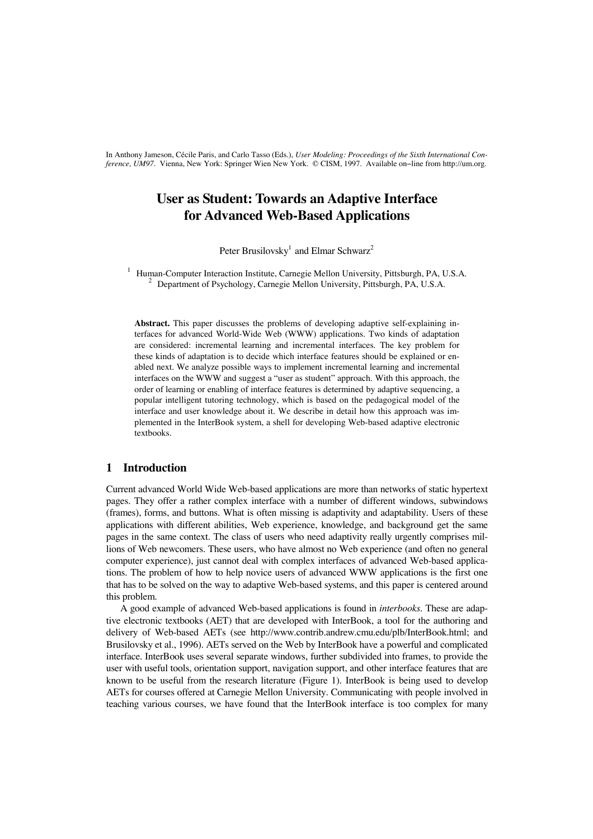In Anthony Jameson, CÈcile Paris, and Carlo Tasso (Eds.), *User Modeling: Proceedings of the Sixth International Conference, UM97.* Vienna, New York: Springer Wien New York. © CISM, 1997. Available on−line from http://um.org.

# **User as Student: Towards an Adaptive Interface for Advanced Web-Based Applications**

Peter Brusilovsky<sup>1</sup> and Elmar Schwarz<sup>2</sup>

1 Human-Computer Interaction Institute, Carnegie Mellon University, Pittsburgh, PA, U.S.A. 2 Department of Psychology, Carnegie Mellon University, Pittsburgh, PA, U.S.A.

**Abstract.** This paper discusses the problems of developing adaptive self-explaining interfaces for advanced World-Wide Web (WWW) applications. Two kinds of adaptation are considered: incremental learning and incremental interfaces. The key problem for these kinds of adaptation is to decide which interface features should be explained or enabled next. We analyze possible ways to implement incremental learning and incremental interfaces on the WWW and suggest a "user as student" approach. With this approach, the order of learning or enabling of interface features is determined by adaptive sequencing, a popular intelligent tutoring technology, which is based on the pedagogical model of the interface and user knowledge about it. We describe in detail how this approach was implemented in the InterBook system, a shell for developing Web-based adaptive electronic textbooks.

# **1 Introduction**

Current advanced World Wide Web-based applications are more than networks of static hypertext pages. They offer a rather complex interface with a number of different windows, subwindows (frames), forms, and buttons. What is often missing is adaptivity and adaptability. Users of these applications with different abilities, Web experience, knowledge, and background get the same pages in the same context. The class of users who need adaptivity really urgently comprises millions of Web newcomers. These users, who have almost no Web experience (and often no general computer experience), just cannot deal with complex interfaces of advanced Web-based applications. The problem of how to help novice users of advanced WWW applications is the first one that has to be solved on the way to adaptive Web-based systems, and this paper is centered around this problem.

A good example of advanced Web-based applications is found in *interbooks*. These are adaptive electronic textbooks (AET) that are developed with InterBook, a tool for the authoring and delivery of Web-based AETs (see http://www.contrib.andrew.cmu.edu/plb/InterBook.html; and Brusilovsky et al., 1996). AETs served on the Web by InterBook have a powerful and complicated interface. InterBook uses several separate windows, further subdivided into frames, to provide the user with useful tools, orientation support, navigation support, and other interface features that are known to be useful from the research literature (Figure 1). InterBook is being used to develop AETs for courses offered at Carnegie Mellon University. Communicating with people involved in teaching various courses, we have found that the InterBook interface is too complex for many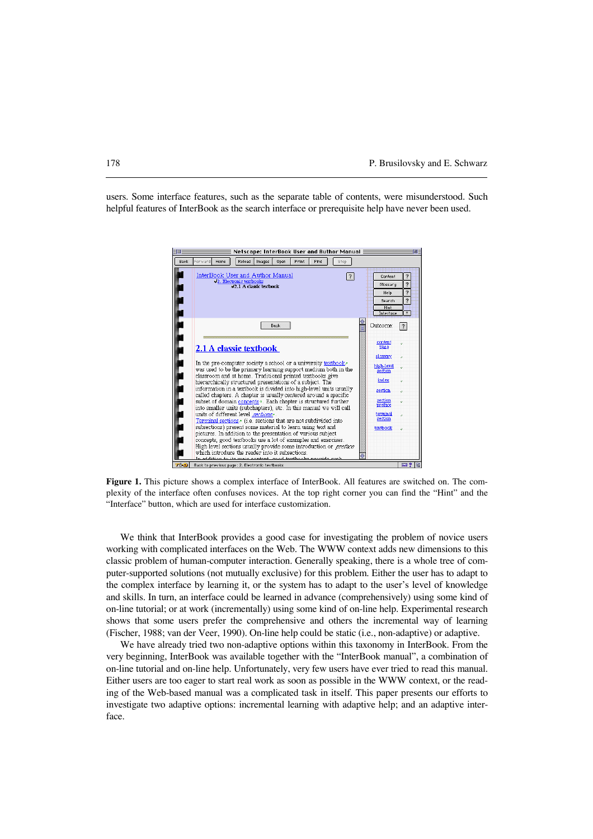178 **P. Brusilovsky and E. Schwarz** 

users. Some interface features, such as the separate table of contents, were misunderstood. Such helpful features of InterBook as the search interface or prerequisite help have never been used.



**Figure 1.** This picture shows a complex interface of InterBook. All features are switched on. The complexity of the interface often confuses novices. At the top right corner you can find the "Hint" and the "Interface" button, which are used for interface customization.

We think that InterBook provides a good case for investigating the problem of novice users working with complicated interfaces on the Web. The WWW context adds new dimensions to this classic problem of human-computer interaction. Generally speaking, there is a whole tree of computer-supported solutions (not mutually exclusive) for this problem. Either the user has to adapt to the complex interface by learning it, or the system has to adapt to the user's level of knowledge and skills. In turn, an interface could be learned in advance (comprehensively) using some kind of on-line tutorial; or at work (incrementally) using some kind of on-line help. Experimental research shows that some users prefer the comprehensive and others the incremental way of learning (Fischer, 1988; van der Veer, 1990). On-line help could be static (i.e., non-adaptive) or adaptive.

We have already tried two non-adaptive options within this taxonomy in InterBook. From the very beginning, InterBook was available together with the "InterBook manual", a combination of on-line tutorial and on-line help. Unfortunately, very few users have ever tried to read this manual. Either users are too eager to start real work as soon as possible in the WWW context, or the reading of the Web-based manual was a complicated task in itself. This paper presents our efforts to investigate two adaptive options: incremental learning with adaptive help; and an adaptive interface.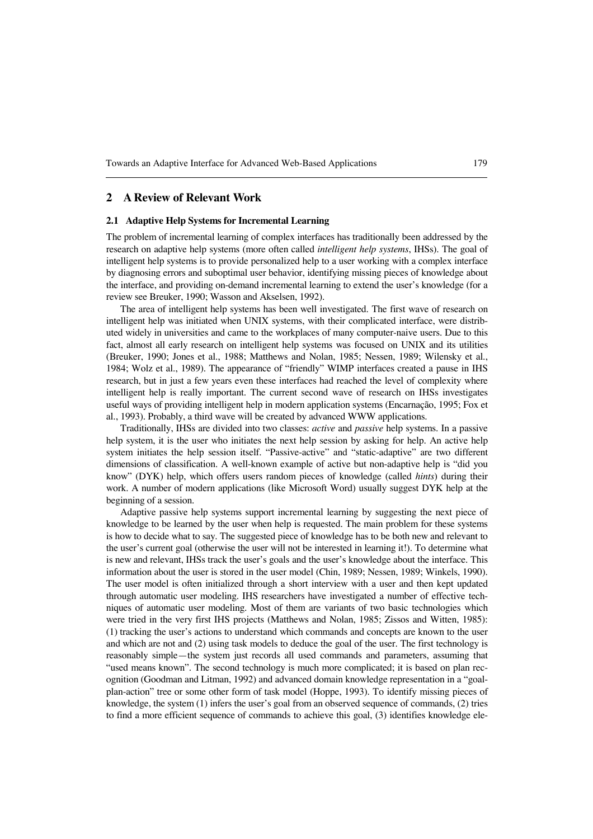# **2 A Review of Relevant Work**

#### **2.1 Adaptive Help Systems for Incremental Learning**

The problem of incremental learning of complex interfaces has traditionally been addressed by the research on adaptive help systems (more often called *intelligent help systems*, IHSs). The goal of intelligent help systems is to provide personalized help to a user working with a complex interface by diagnosing errors and suboptimal user behavior, identifying missing pieces of knowledge about the interface, and providing on-demand incremental learning to extend the user's knowledge (for a review see Breuker, 1990; Wasson and Akselsen, 1992).

The area of intelligent help systems has been well investigated. The first wave of research on intelligent help was initiated when UNIX systems, with their complicated interface, were distributed widely in universities and came to the workplaces of many computer-naive users. Due to this fact, almost all early research on intelligent help systems was focused on UNIX and its utilities (Breuker, 1990; Jones et al., 1988; Matthews and Nolan, 1985; Nessen, 1989; Wilensky et al., 1984; Wolz et al., 1989). The appearance of "friendly" WIMP interfaces created a pause in IHS research, but in just a few years even these interfaces had reached the level of complexity where intelligent help is really important. The current second wave of research on IHSs investigates useful ways of providing intelligent help in modern application systems (Encarnação, 1995; Fox et al., 1993). Probably, a third wave will be created by advanced WWW applications.

Traditionally, IHSs are divided into two classes: *active* and *passive* help systems. In a passive help system, it is the user who initiates the next help session by asking for help. An active help system initiates the help session itself. "Passive-active" and "static-adaptive" are two different dimensions of classification. A well-known example of active but non-adaptive help is "did you knowî (DYK) help, which offers users random pieces of knowledge (called *hints*) during their work. A number of modern applications (like Microsoft Word) usually suggest DYK help at the beginning of a session.

Adaptive passive help systems support incremental learning by suggesting the next piece of knowledge to be learned by the user when help is requested. The main problem for these systems is how to decide what to say. The suggested piece of knowledge has to be both new and relevant to the user's current goal (otherwise the user will not be interested in learning it!). To determine what is new and relevant, IHSs track the user's goals and the user's knowledge about the interface. This information about the user is stored in the user model (Chin, 1989; Nessen, 1989; Winkels, 1990). The user model is often initialized through a short interview with a user and then kept updated through automatic user modeling. IHS researchers have investigated a number of effective techniques of automatic user modeling. Most of them are variants of two basic technologies which were tried in the very first IHS projects (Matthews and Nolan, 1985; Zissos and Witten, 1985): (1) tracking the userís actions to understand which commands and concepts are known to the user and which are not and (2) using task models to deduce the goal of the user. The first technology is reasonably simple—the system just records all used commands and parameters, assuming that "used means known". The second technology is much more complicated; it is based on plan recognition (Goodman and Litman, 1992) and advanced domain knowledge representation in a "goalplan-action" tree or some other form of task model (Hoppe, 1993). To identify missing pieces of knowledge, the system  $(1)$  infers the user's goal from an observed sequence of commands,  $(2)$  tries to find a more efficient sequence of commands to achieve this goal, (3) identifies knowledge ele-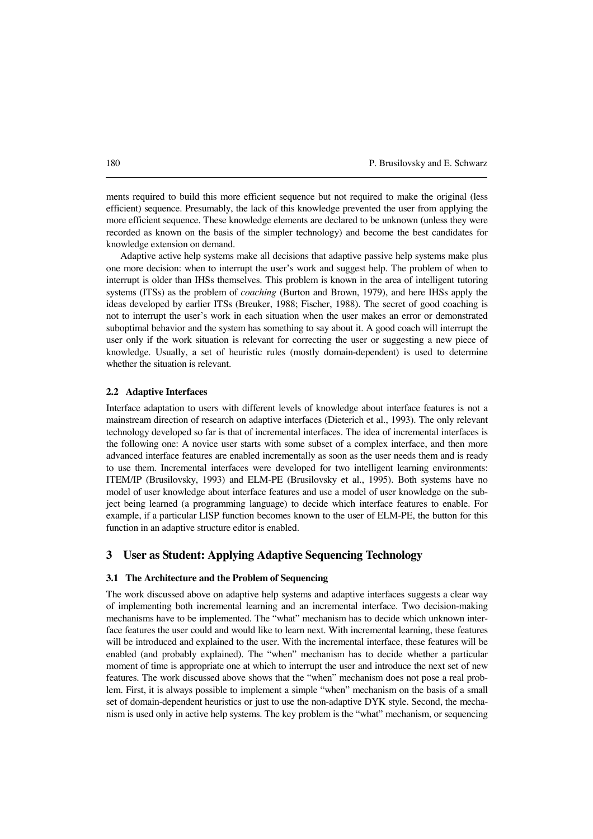180 **P. Brusilovsky and E. Schwarz** 

ments required to build this more efficient sequence but not required to make the original (less efficient) sequence. Presumably, the lack of this knowledge prevented the user from applying the more efficient sequence. These knowledge elements are declared to be unknown (unless they were recorded as known on the basis of the simpler technology) and become the best candidates for knowledge extension on demand.

Adaptive active help systems make all decisions that adaptive passive help systems make plus one more decision: when to interrupt the user's work and suggest help. The problem of when to interrupt is older than IHSs themselves. This problem is known in the area of intelligent tutoring systems (ITSs) as the problem of *coaching* (Burton and Brown, 1979), and here IHSs apply the ideas developed by earlier ITSs (Breuker, 1988; Fischer, 1988). The secret of good coaching is not to interrupt the user's work in each situation when the user makes an error or demonstrated suboptimal behavior and the system has something to say about it. A good coach will interrupt the user only if the work situation is relevant for correcting the user or suggesting a new piece of knowledge. Usually, a set of heuristic rules (mostly domain-dependent) is used to determine whether the situation is relevant.

#### **2.2 Adaptive Interfaces**

Interface adaptation to users with different levels of knowledge about interface features is not a mainstream direction of research on adaptive interfaces (Dieterich et al., 1993). The only relevant technology developed so far is that of incremental interfaces. The idea of incremental interfaces is the following one: A novice user starts with some subset of a complex interface, and then more advanced interface features are enabled incrementally as soon as the user needs them and is ready to use them. Incremental interfaces were developed for two intelligent learning environments: ITEM/IP (Brusilovsky, 1993) and ELM-PE (Brusilovsky et al., 1995). Both systems have no model of user knowledge about interface features and use a model of user knowledge on the subject being learned (a programming language) to decide which interface features to enable. For example, if a particular LISP function becomes known to the user of ELM-PE, the button for this function in an adaptive structure editor is enabled.

# **3 User as Student: Applying Adaptive Sequencing Technology**

### **3.1 The Architecture and the Problem of Sequencing**

The work discussed above on adaptive help systems and adaptive interfaces suggests a clear way of implementing both incremental learning and an incremental interface. Two decision-making mechanisms have to be implemented. The "what" mechanism has to decide which unknown interface features the user could and would like to learn next. With incremental learning, these features will be introduced and explained to the user. With the incremental interface, these features will be enabled (and probably explained). The "when" mechanism has to decide whether a particular moment of time is appropriate one at which to interrupt the user and introduce the next set of new features. The work discussed above shows that the "when" mechanism does not pose a real problem. First, it is always possible to implement a simple "when" mechanism on the basis of a small set of domain-dependent heuristics or just to use the non-adaptive DYK style. Second, the mechanism is used only in active help systems. The key problem is the "what" mechanism, or sequencing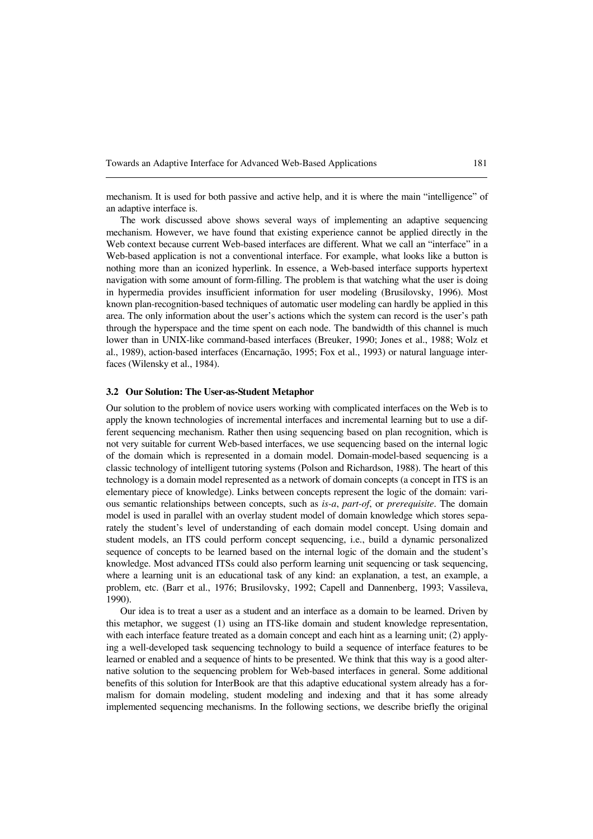mechanism. It is used for both passive and active help, and it is where the main "intelligence" of an adaptive interface is.

The work discussed above shows several ways of implementing an adaptive sequencing mechanism. However, we have found that existing experience cannot be applied directly in the Web context because current Web-based interfaces are different. What we call an "interface" in a Web-based application is not a conventional interface. For example, what looks like a button is nothing more than an iconized hyperlink. In essence, a Web-based interface supports hypertext navigation with some amount of form-filling. The problem is that watching what the user is doing in hypermedia provides insufficient information for user modeling (Brusilovsky, 1996). Most known plan-recognition-based techniques of automatic user modeling can hardly be applied in this area. The only information about the user's actions which the system can record is the user's path through the hyperspace and the time spent on each node. The bandwidth of this channel is much lower than in UNIX-like command-based interfaces (Breuker, 1990; Jones et al., 1988; Wolz et al., 1989), action-based interfaces (Encarnação, 1995; Fox et al., 1993) or natural language interfaces (Wilensky et al., 1984).

### **3.2 Our Solution: The User-as-Student Metaphor**

Our solution to the problem of novice users working with complicated interfaces on the Web is to apply the known technologies of incremental interfaces and incremental learning but to use a different sequencing mechanism. Rather then using sequencing based on plan recognition, which is not very suitable for current Web-based interfaces, we use sequencing based on the internal logic of the domain which is represented in a domain model. Domain-model-based sequencing is a classic technology of intelligent tutoring systems (Polson and Richardson, 1988). The heart of this technology is a domain model represented as a network of domain concepts (a concept in ITS is an elementary piece of knowledge). Links between concepts represent the logic of the domain: various semantic relationships between concepts, such as *is-a*, *part-of*, or *prerequisite*. The domain model is used in parallel with an overlay student model of domain knowledge which stores separately the student's level of understanding of each domain model concept. Using domain and student models, an ITS could perform concept sequencing, i.e., build a dynamic personalized sequence of concepts to be learned based on the internal logic of the domain and the student's knowledge. Most advanced ITSs could also perform learning unit sequencing or task sequencing, where a learning unit is an educational task of any kind: an explanation, a test, an example, a problem, etc. (Barr et al., 1976; Brusilovsky, 1992; Capell and Dannenberg, 1993; Vassileva, 1990).

Our idea is to treat a user as a student and an interface as a domain to be learned. Driven by this metaphor, we suggest (1) using an ITS-like domain and student knowledge representation, with each interface feature treated as a domain concept and each hint as a learning unit; (2) applying a well-developed task sequencing technology to build a sequence of interface features to be learned or enabled and a sequence of hints to be presented. We think that this way is a good alternative solution to the sequencing problem for Web-based interfaces in general. Some additional benefits of this solution for InterBook are that this adaptive educational system already has a formalism for domain modeling, student modeling and indexing and that it has some already implemented sequencing mechanisms. In the following sections, we describe briefly the original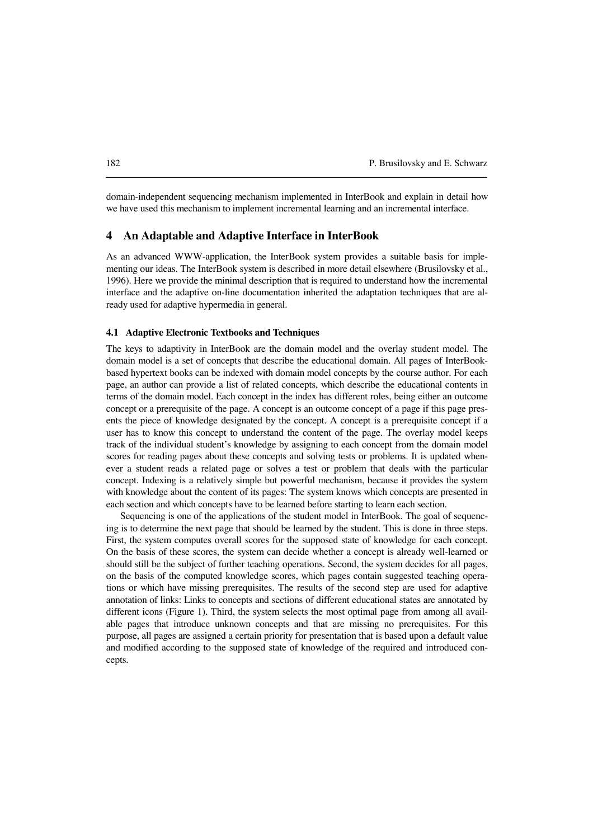| 182 | P. Brusilovsky and E. Schwarz |
|-----|-------------------------------|
|-----|-------------------------------|

domain-independent sequencing mechanism implemented in InterBook and explain in detail how we have used this mechanism to implement incremental learning and an incremental interface.

# **4 An Adaptable and Adaptive Interface in InterBook**

As an advanced WWW-application, the InterBook system provides a suitable basis for implementing our ideas. The InterBook system is described in more detail elsewhere (Brusilovsky et al., 1996). Here we provide the minimal description that is required to understand how the incremental interface and the adaptive on-line documentation inherited the adaptation techniques that are already used for adaptive hypermedia in general.

### **4.1 Adaptive Electronic Textbooks and Techniques**

The keys to adaptivity in InterBook are the domain model and the overlay student model. The domain model is a set of concepts that describe the educational domain. All pages of InterBookbased hypertext books can be indexed with domain model concepts by the course author. For each page, an author can provide a list of related concepts, which describe the educational contents in terms of the domain model. Each concept in the index has different roles, being either an outcome concept or a prerequisite of the page. A concept is an outcome concept of a page if this page presents the piece of knowledge designated by the concept. A concept is a prerequisite concept if a user has to know this concept to understand the content of the page. The overlay model keeps track of the individual student's knowledge by assigning to each concept from the domain model scores for reading pages about these concepts and solving tests or problems. It is updated whenever a student reads a related page or solves a test or problem that deals with the particular concept. Indexing is a relatively simple but powerful mechanism, because it provides the system with knowledge about the content of its pages: The system knows which concepts are presented in each section and which concepts have to be learned before starting to learn each section.

Sequencing is one of the applications of the student model in InterBook. The goal of sequencing is to determine the next page that should be learned by the student. This is done in three steps. First, the system computes overall scores for the supposed state of knowledge for each concept. On the basis of these scores, the system can decide whether a concept is already well-learned or should still be the subject of further teaching operations. Second, the system decides for all pages, on the basis of the computed knowledge scores, which pages contain suggested teaching operations or which have missing prerequisites. The results of the second step are used for adaptive annotation of links: Links to concepts and sections of different educational states are annotated by different icons (Figure 1). Third, the system selects the most optimal page from among all available pages that introduce unknown concepts and that are missing no prerequisites. For this purpose, all pages are assigned a certain priority for presentation that is based upon a default value and modified according to the supposed state of knowledge of the required and introduced concepts.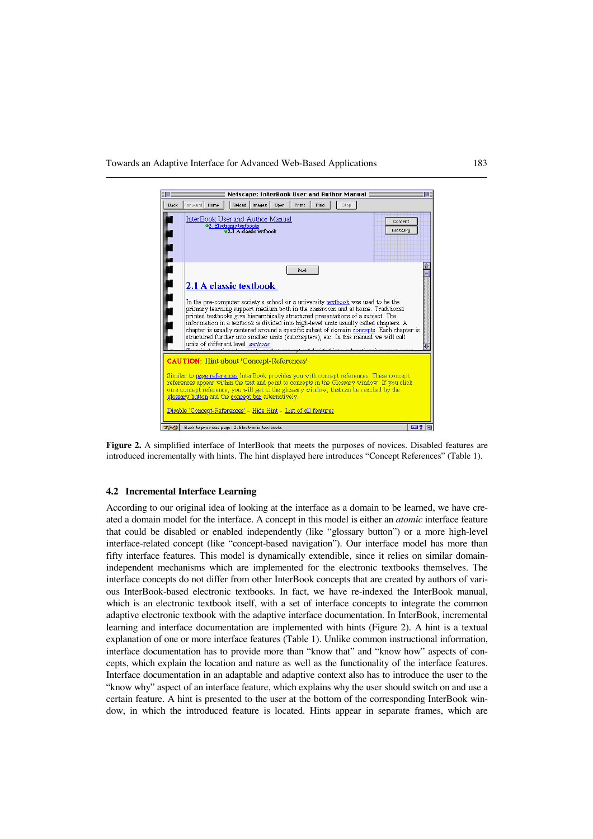

**Figure 2.** A simplified interface of InterBook that meets the purposes of novices. Disabled features are introduced incrementally with hints. The hint displayed here introduces "Concept References" (Table 1).

#### **4.2 Incremental Interface Learning**

According to our original idea of looking at the interface as a domain to be learned, we have created a domain model for the interface. A concept in this model is either an *atomic* interface feature that could be disabled or enabled independently (like "glossary button") or a more high-level interface-related concept (like "concept-based navigation"). Our interface model has more than fifty interface features. This model is dynamically extendible, since it relies on similar domainindependent mechanisms which are implemented for the electronic textbooks themselves. The interface concepts do not differ from other InterBook concepts that are created by authors of various InterBook-based electronic textbooks. In fact, we have re-indexed the InterBook manual, which is an electronic textbook itself, with a set of interface concepts to integrate the common adaptive electronic textbook with the adaptive interface documentation. In InterBook, incremental learning and interface documentation are implemented with hints (Figure 2). A hint is a textual explanation of one or more interface features (Table 1). Unlike common instructional information, interface documentation has to provide more than "know that" and "know how" aspects of concepts, which explain the location and nature as well as the functionality of the interface features. Interface documentation in an adaptable and adaptive context also has to introduce the user to the ìknow whyî aspect of an interface feature, which explains why the user should switch on and use a certain feature. A hint is presented to the user at the bottom of the corresponding InterBook window, in which the introduced feature is located. Hints appear in separate frames, which are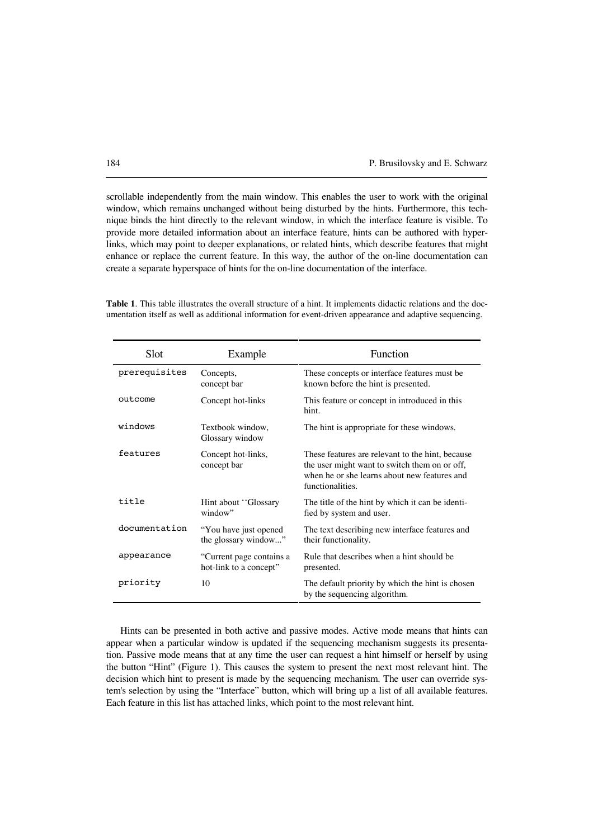| 184 | P. Brusilovsky and E. Schwarz |
|-----|-------------------------------|
|-----|-------------------------------|

scrollable independently from the main window. This enables the user to work with the original window, which remains unchanged without being disturbed by the hints. Furthermore, this technique binds the hint directly to the relevant window, in which the interface feature is visible. To provide more detailed information about an interface feature, hints can be authored with hyperlinks, which may point to deeper explanations, or related hints, which describe features that might enhance or replace the current feature. In this way, the author of the on-line documentation can create a separate hyperspace of hints for the on-line documentation of the interface.

| <b>Slot</b>   | Example                                            | Function                                                                                                                                                              |
|---------------|----------------------------------------------------|-----------------------------------------------------------------------------------------------------------------------------------------------------------------------|
| prerequisites | Concepts,<br>concept bar                           | These concepts or interface features must be<br>known before the hint is presented.                                                                                   |
| outcome       | Concept hot-links                                  | This feature or concept in introduced in this<br>hint.                                                                                                                |
| windows       | Textbook window,<br>Glossary window                | The hint is appropriate for these windows.                                                                                                                            |
| features      | Concept hot-links,<br>concept bar                  | These features are relevant to the hint, because<br>the user might want to switch them on or off,<br>when he or she learns about new features and<br>functionalities. |
| title         | Hint about "Glossary"<br>window"                   | The title of the hint by which it can be identi-<br>fied by system and user.                                                                                          |
| documentation | "You have just opened<br>the glossary window"      | The text describing new interface features and<br>their functionality.                                                                                                |
| appearance    | "Current page contains a<br>hot-link to a concept" | Rule that describes when a hint should be<br>presented.                                                                                                               |
| priority      | 10                                                 | The default priority by which the hint is chosen<br>by the sequencing algorithm.                                                                                      |

**Table 1**. This table illustrates the overall structure of a hint. It implements didactic relations and the documentation itself as well as additional information for event-driven appearance and adaptive sequencing.

Hints can be presented in both active and passive modes. Active mode means that hints can appear when a particular window is updated if the sequencing mechanism suggests its presentation. Passive mode means that at any time the user can request a hint himself or herself by using the button "Hint" (Figure 1). This causes the system to present the next most relevant hint. The decision which hint to present is made by the sequencing mechanism. The user can override system's selection by using the "Interface" button, which will bring up a list of all available features. Each feature in this list has attached links, which point to the most relevant hint.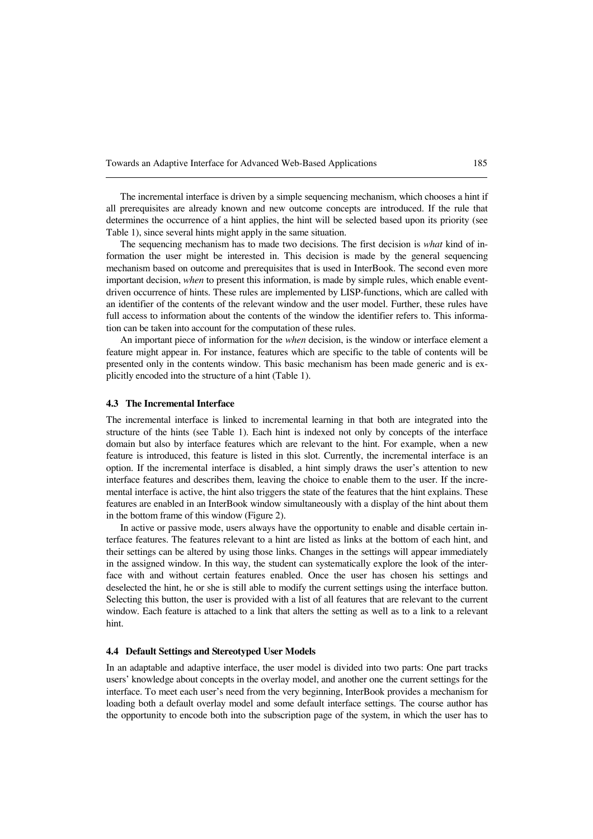The incremental interface is driven by a simple sequencing mechanism, which chooses a hint if all prerequisites are already known and new outcome concepts are introduced. If the rule that determines the occurrence of a hint applies, the hint will be selected based upon its priority (see Table 1), since several hints might apply in the same situation.

The sequencing mechanism has to made two decisions. The first decision is *what* kind of information the user might be interested in. This decision is made by the general sequencing mechanism based on outcome and prerequisites that is used in InterBook. The second even more important decision, *when* to present this information, is made by simple rules, which enable eventdriven occurrence of hints. These rules are implemented by LISP-functions, which are called with an identifier of the contents of the relevant window and the user model. Further, these rules have full access to information about the contents of the window the identifier refers to. This information can be taken into account for the computation of these rules.

An important piece of information for the *when* decision, is the window or interface element a feature might appear in. For instance, features which are specific to the table of contents will be presented only in the contents window. This basic mechanism has been made generic and is explicitly encoded into the structure of a hint (Table 1).

### **4.3 The Incremental Interface**

The incremental interface is linked to incremental learning in that both are integrated into the structure of the hints (see Table 1). Each hint is indexed not only by concepts of the interface domain but also by interface features which are relevant to the hint. For example, when a new feature is introduced, this feature is listed in this slot. Currently, the incremental interface is an option. If the incremental interface is disabled, a hint simply draws the user's attention to new interface features and describes them, leaving the choice to enable them to the user. If the incremental interface is active, the hint also triggers the state of the features that the hint explains. These features are enabled in an InterBook window simultaneously with a display of the hint about them in the bottom frame of this window (Figure 2).

In active or passive mode, users always have the opportunity to enable and disable certain interface features. The features relevant to a hint are listed as links at the bottom of each hint, and their settings can be altered by using those links. Changes in the settings will appear immediately in the assigned window. In this way, the student can systematically explore the look of the interface with and without certain features enabled. Once the user has chosen his settings and deselected the hint, he or she is still able to modify the current settings using the interface button. Selecting this button, the user is provided with a list of all features that are relevant to the current window. Each feature is attached to a link that alters the setting as well as to a link to a relevant hint.

#### **4.4 Default Settings and Stereotyped User Models**

In an adaptable and adaptive interface, the user model is divided into two parts: One part tracks users' knowledge about concepts in the overlay model, and another one the current settings for the interface. To meet each user's need from the very beginning, InterBook provides a mechanism for loading both a default overlay model and some default interface settings. The course author has the opportunity to encode both into the subscription page of the system, in which the user has to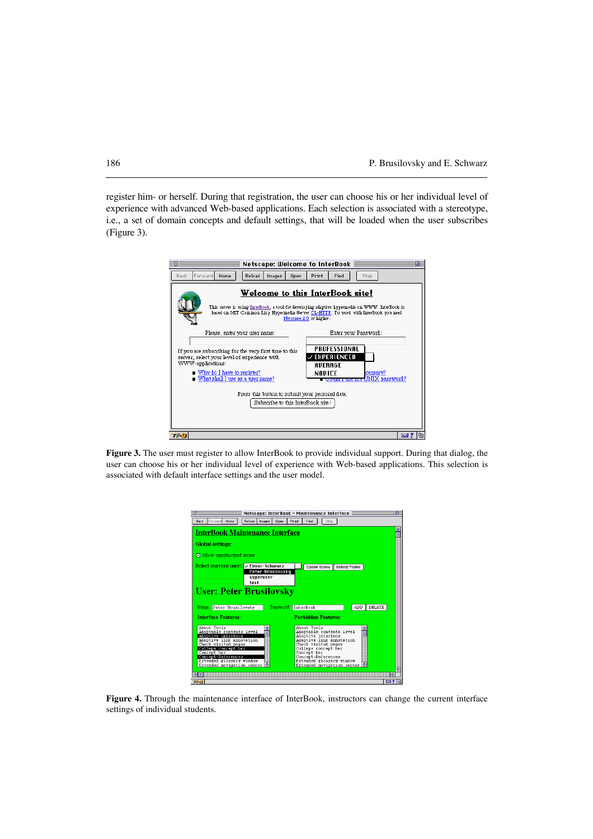186 P. Brusilovsky and E. Schwarz

register him- or herself. During that registration, the user can choose his or her individual level of experience with advanced Web-based applications. Each selection is associated with a stereotype, i.e., a set of domain concepts and default settings, that will be loaded when the user subscribes (Figure 3).

| Netscape: Welcome to InterBook                                                                                                                                                                                                                      | ᄩ                                                                                             |  |
|-----------------------------------------------------------------------------------------------------------------------------------------------------------------------------------------------------------------------------------------------------|-----------------------------------------------------------------------------------------------|--|
| Reload<br>Forward<br>Home<br>Images<br>Open<br>Back                                                                                                                                                                                                 | Print<br>Find<br>Stop                                                                         |  |
| Welcome to this InterBook site!<br>This server is using InterBook, a tool for developing adaptive hupermedia on WWW. InterBook is<br>based on MIT Common Lisp Hypermedia Server CL-HTTP. To work with InterBook you need<br>Netscape 2.0 or higher. |                                                                                               |  |
| Please, enter your user name:<br>If you are subscribing for the very first time to this<br>server, select your level of experience with<br>WWW-applications:<br>• Why do I have to register?                                                        | Enter your Password:<br>PROFESSIONAL<br><b>✓ EXPERIENCED</b><br>AUFRAGE<br>NOUTCE<br>cessary? |  |
| . What shall I use as a user name?<br>UNIX password?<br>onaa 1 ase niv<br>Press this button to submit your personal data:<br>Subscribe to this InterBook site!                                                                                      |                                                                                               |  |
| $T/(\theta)$                                                                                                                                                                                                                                        |                                                                                               |  |

**Figure 3.** The user must register to allow InterBook to provide individual support. During that dialog, the user can choose his or her individual level of experience with Web-based applications. This selection is associated with default interface settings and the user model.

| Netscape: InterBook - Maintenance Interface  <br>囙                                                                                                                                                                                     |                                                                                                                                                                                                                                        |  |  |
|----------------------------------------------------------------------------------------------------------------------------------------------------------------------------------------------------------------------------------------|----------------------------------------------------------------------------------------------------------------------------------------------------------------------------------------------------------------------------------------|--|--|
| Reload<br>Back<br>Home<br>Forward<br>Images                                                                                                                                                                                            | Print<br>Find<br>Stop<br>Open                                                                                                                                                                                                          |  |  |
| 仚<br>InterBook Maintenance Interface                                                                                                                                                                                                   |                                                                                                                                                                                                                                        |  |  |
| Global settings:                                                                                                                                                                                                                       |                                                                                                                                                                                                                                        |  |  |
| $\boxtimes$ Allow unauthorized access                                                                                                                                                                                                  |                                                                                                                                                                                                                                        |  |  |
| Select current user: V Elmar-Schwarz<br>Peter-Brusilovsky<br>superuser<br>test                                                                                                                                                         | Update Screen<br>Default Values                                                                                                                                                                                                        |  |  |
| <u> User: Peter Brusilovsky</u><br>Name: Peter Brusilovsky<br>DELETE<br>Password: InterBook<br>ADD <sup>1</sup>                                                                                                                        |                                                                                                                                                                                                                                        |  |  |
| <b>Interface Features:</b>                                                                                                                                                                                                             | <b>Forbidden Features:</b>                                                                                                                                                                                                             |  |  |
| About Tools<br>Adaptable contents level<br>Adaptive interface<br>Adaptive link annotation<br>Check visited pages<br>Collaps concept bar<br>Concept bar<br>Concept-References<br>Extended glossary window<br>Extended navigation center | About Tools<br>Adaptable contents level<br>Adaptive interface<br>Adaptive link annotation<br>Check visited pages<br>Collaps concept bar<br>Concept bar<br>Concept-References<br>Extended glossary window<br>Extended navigation center |  |  |
| I¢ m<br>الهناب                                                                                                                                                                                                                         | ca o Tas                                                                                                                                                                                                                               |  |  |

**Figure 4.** Through the maintenance interface of InterBook, instructors can change the current interface settings of individual students.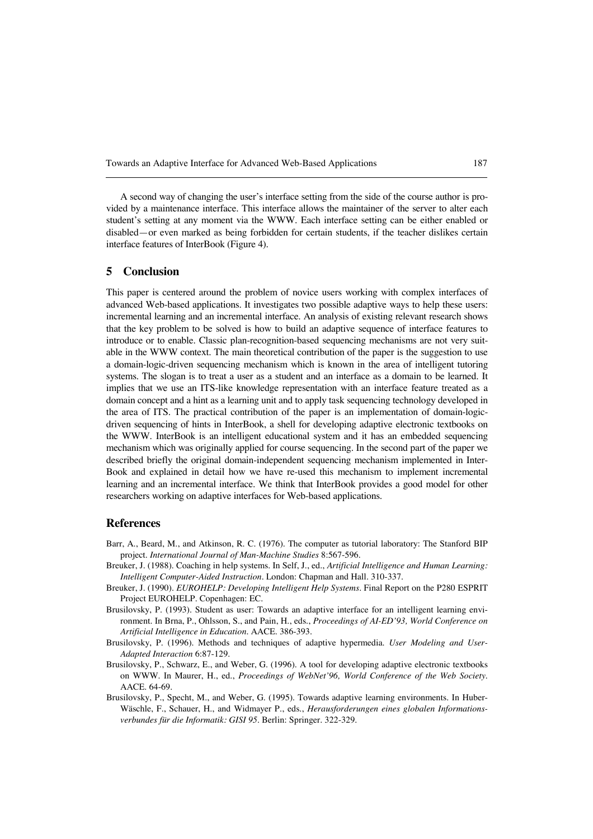A second way of changing the user's interface setting from the side of the course author is provided by a maintenance interface. This interface allows the maintainer of the server to alter each student's setting at any moment via the WWW. Each interface setting can be either enabled or disabled or even marked as being forbidden for certain students, if the teacher dislikes certain interface features of InterBook (Figure 4).

## **5 Conclusion**

This paper is centered around the problem of novice users working with complex interfaces of advanced Web-based applications. It investigates two possible adaptive ways to help these users: incremental learning and an incremental interface. An analysis of existing relevant research shows that the key problem to be solved is how to build an adaptive sequence of interface features to introduce or to enable. Classic plan-recognition-based sequencing mechanisms are not very suitable in the WWW context. The main theoretical contribution of the paper is the suggestion to use a domain-logic-driven sequencing mechanism which is known in the area of intelligent tutoring systems. The slogan is to treat a user as a student and an interface as a domain to be learned. It implies that we use an ITS-like knowledge representation with an interface feature treated as a domain concept and a hint as a learning unit and to apply task sequencing technology developed in the area of ITS. The practical contribution of the paper is an implementation of domain-logicdriven sequencing of hints in InterBook, a shell for developing adaptive electronic textbooks on the WWW. InterBook is an intelligent educational system and it has an embedded sequencing mechanism which was originally applied for course sequencing. In the second part of the paper we described briefly the original domain-independent sequencing mechanism implemented in Inter-Book and explained in detail how we have re-used this mechanism to implement incremental learning and an incremental interface. We think that InterBook provides a good model for other researchers working on adaptive interfaces for Web-based applications.

# **References**

- Barr, A., Beard, M., and Atkinson, R. C. (1976). The computer as tutorial laboratory: The Stanford BIP project. *International Journal of Man-Machine Studies* 8:567-596.
- Breuker, J. (1988). Coaching in help systems. In Self, J., ed., *Artificial Intelligence and Human Learning: Intelligent Computer-Aided Instruction.* London: Chapman and Hall. 310-337.
- Breuker, J. (1990). *EUROHELP: Developing Intelligent Help Systems.* Final Report on the P280 ESPRIT Project EUROHELP. Copenhagen: EC.
- Brusilovsky, P. (1993). Student as user: Towards an adaptive interface for an intelligent learning environment. In Brna, P., Ohlsson, S., and Pain, H., eds., *Proceedings of AI-EDí93, World Conference on Artificial Intelligence in Education.* AACE. 386-393.
- Brusilovsky, P. (1996). Methods and techniques of adaptive hypermedia. *User Modeling and User-Adapted Interaction* 6:87-129.
- Brusilovsky, P., Schwarz, E., and Weber, G. (1996). A tool for developing adaptive electronic textbooks on WWW. In Maurer, H., ed., *Proceedings of WebNetí96, World Conference of the Web Society.* AACE. 64-69.
- Brusilovsky, P., Specht, M., and Weber, G. (1995). Towards adaptive learning environments. In Huber-W‰schle, F., Schauer, H., and Widmayer P., eds., *Herausforderungen eines globalen Informations*verbundes für die Informatik: GISI 95. Berlin: Springer. 322-329.